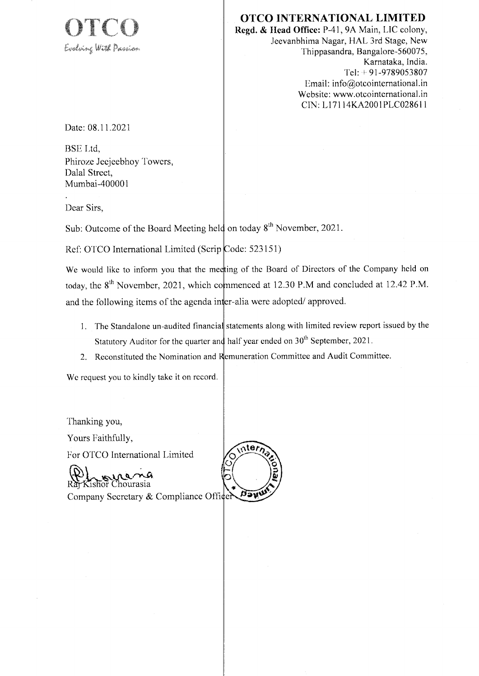

### **OTCO INTERNATIONAL LIMITED**

Regd. & Head Office: P-41, 9A Main, LIC colony, Jeevanbhima Nagar, HAL 3rd Stage, New Thippasandra, Bangalore-560075, Karnataka, India. Tel: +91-9789053807 Email: info@otcointernational.in Website: www.otcointernational.in CIN: L17114KA2001PLC028611

Date: 08.11.2021

**BSE** Ltd. Phiroze Jecjeebhoy Towers, Dalal Street. Mumbai-400001

Dear Sirs.

Sub: Outcome of the Board Meeting held on today  $8<sup>th</sup>$  November, 2021.

Ref: OTCO International Limited (Scrip Code: 523151)

We would like to inform you that the meeting of the Board of Directors of the Company held on today, the 8<sup>th</sup> November, 2021, which commenced at 12.30 P.M and concluded at 12.42 P.M. and the following items of the agenda inter-alia were adopted/approved.

1. The Standalone un-audited financial statements along with limited review report issued by the Statutory Auditor for the quarter and half year ended on 30<sup>th</sup> September, 2021.

ter<sub>i</sub>

2. Reconstituted the Nomination and Remuneration Committee and Audit Committee.

We request you to kindly take it on record.

Thanking you, Yours Faithfully, For OTCO International Limited

Ra Kishor Chourasia Davu Company Secretary & Compliance Officer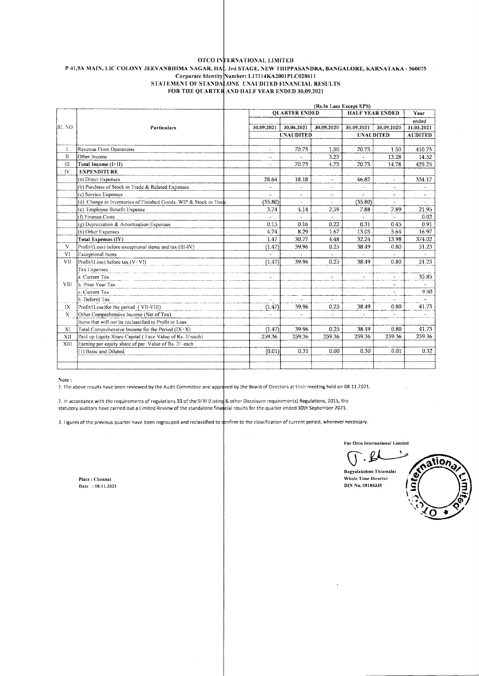### OTCO INTERNATIONAL LIMITED P-41,9A MAIN, LIC COLONY JEEVANBHIMA NAGAR, HAL 3rd STAGE, NEW THIPPASANDRA, BANGALORE, KARNATAKA - 560075<br>Corporate Identity Number: L17114KA2001PLC028611 STATEMENT OF STANDALONE UNAUDITED FINANCIAL RESULTS FOR THE QUARTER AND HALF YEAR ENDED 30.09.2021

|             |                                                                   | (Rs. In Lacs Except EPS) |                       |                      |                |                          |                          |                          |
|-------------|-------------------------------------------------------------------|--------------------------|-----------------------|----------------------|----------------|--------------------------|--------------------------|--------------------------|
|             |                                                                   |                          |                       | <b>OUARTER ENDED</b> |                | <b>HALF YEAR ENDED</b>   |                          | Year                     |
|             |                                                                   |                          |                       |                      |                |                          |                          | ended                    |
| SL NO       | Particulars                                                       |                          | 30.09.2021            | 30.06.2021           | 30.09.2020     | 30.09.2021               | 30.09.2020               | 31.03.2021               |
|             |                                                                   |                          |                       | <b>UNAUDITED</b>     |                | <b>UNAUDITED</b>         |                          | <b>AUDITED</b>           |
|             |                                                                   |                          |                       |                      |                |                          |                          |                          |
| L           | Revenue From Operations                                           |                          | a.                    | 70.73                | 1.50           | 70.73                    | 1.50                     | 410.73                   |
| $_{\rm II}$ | Other Income                                                      |                          | ÷                     |                      | 3.23           |                          | 13.28                    | 14.52                    |
| Ш           | Total Income (I+II)                                               |                          | u.                    | 70.73                | 4.73           | 70.73                    | 14.78                    | 425.25                   |
| IV.         | <b>EXPENDITURE</b>                                                |                          |                       |                      |                |                          |                          |                          |
|             | (a) Direct Expenses                                               |                          | 28.64                 | 18.18                |                | 46.82                    | j.                       | 334.17                   |
|             | (b) Purchase of Stock in Trade & Related Expenses                 |                          |                       | u.                   | $\sim$         |                          | $\overline{\phantom{a}}$ | $\overline{\phantom{a}}$ |
|             | (c) Service Expenses                                              |                          | ä,                    |                      | ÷              | $\overline{\phantom{a}}$ | $\overline{\phantom{a}}$ | $\overline{\phantom{a}}$ |
|             | (d) Change in Inventories of Finished Goods, WIP & Stock in Trade |                          | (35.80)               | $\sim$               | u.             | (35.80)                  | ÷.                       | $\bar{a}$                |
|             | (e) Employee Benefit Expense                                      |                          | 3.74                  | 4.14                 | 2.59           | 7.88                     | 7.89                     | 21.95                    |
|             | (f) Finance Costs                                                 |                          | ä,                    |                      |                |                          | ÷                        | 0.02                     |
|             | (g) Depreciation & Amortization Expenses                          |                          | 0.15                  | 0.16                 | 0.22           | 0.31                     | 0.45                     | 0.91                     |
|             | (h) Other Expenses                                                |                          | 4.74                  | 8.29                 | 1.67           | 13.03                    | 5.64                     | 16.97                    |
|             | Total Expenses (IV)                                               |                          | 1.47                  | 30.77                | 4.48           | 32.24                    | 13.98                    | 374.02                   |
| V           | Profit/(Loss) before exceptional items and tax (III-IV)           |                          | (1.47)                | 39.96                | 0.25           | 38.49                    | 0.80                     | 51.23                    |
| VI          | <b>Exceptional Items</b>                                          |                          |                       |                      |                |                          |                          | $\rightarrow$            |
| VII         | Profit/(Loss) before tax $(V:VI)$                                 |                          | (1.47)                | 39.96                | 0.25           | 38.49                    | 0.80                     | 51.23                    |
|             | Tax Expenses                                                      |                          |                       |                      |                |                          |                          |                          |
|             | a. Current Tax                                                    |                          | $\tilde{\phantom{a}}$ |                      | $\overline{a}$ | ÷,                       | ä,                       | 35.85                    |
| VIII        | b. Prior Year Tax                                                 |                          |                       |                      |                |                          | ÷                        | $\overline{\phantom{a}}$ |
|             | c. Current Tax                                                    |                          |                       |                      |                |                          | ÷,                       | 9.50                     |
|             | b. Deferrd Tax                                                    |                          | $\overline{a}$        |                      |                | ä,                       | u.                       |                          |
| IX          | Profit/(Loss)for the period (VII-VIII)                            |                          | (1.47)                | 39.96                | 0.25           | 38.49                    | 0.80                     | 41.73                    |
| X           | Other Comprehensive Income (Net of Tax)                           |                          |                       |                      | ÷.             | $\overline{a}$           |                          |                          |
|             | Items that will not be reclassified to Profit or Loss             |                          |                       |                      |                |                          |                          |                          |
| XI          | Total Comprehensive Income for the Period $(IX+X)$                |                          | (1.47)                | 39.96                | 0.25           | 38.49                    | 0.80                     | 41.73                    |
| XII         | Paid up Equity Share Capital (Face Value of Rs. 2/-each)          |                          | 259.36                | 259.36               | 259.36         | 259.36                   | 259.36                   | 259.36                   |
| XIII        | Earning per equity share of par Value of Rs. 2/- each             |                          |                       |                      |                |                          |                          |                          |
|             | (1) Basic and Diluted                                             |                          | (0.01)                | 0.31                 | 0.00           | 0.30                     | 0.01                     | 0.32                     |
|             |                                                                   |                          |                       |                      |                |                          |                          |                          |
|             |                                                                   |                          |                       |                      |                |                          |                          |                          |
|             |                                                                   |                          |                       |                      |                |                          |                          |                          |

#### Note:

1. The above results have been reviewed by the Audit Committee and approved by the Board of Directors at their meeting held on 08.11.2021.

2. In accordance with the requirements of regulations 33 of the SEBI (Listing & other Discolsure requirements) Regulations, 2015, the statutory auditors have carried out a Limited Review of the standalone financial results for the quarter ended 30th September 2021.

3. Figures of the previous quarter have been regrouped and reclassified to confirm to the classification of current period, wherever necessary.

For Otco International Limited

 $\mathcal{L}$ 

Bagyalakshmi Thiumalai Whole Time Director DIN No. 08186335



Place: Chennai Date: 08.11.2021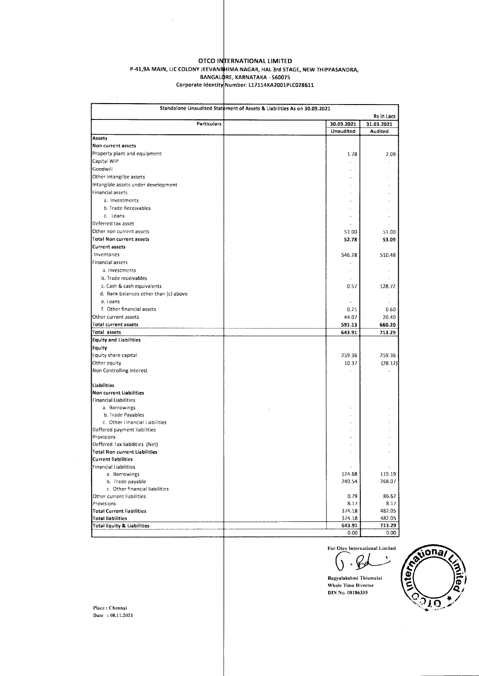## OTCO INTERNATIONAL LIMITED **P-41,9A MAIN, LIC COLONY JEEVANTHUNAL LIMITED**<br>BANGALORE, KARNATAKA - 560075<br>Corporate Identity Number: L17114KA2001PLC028611

| Standalone Unaudited Statement of Assets & Liabilities As on 30.09.2021 |                          |                  |  |  |  |  |
|-------------------------------------------------------------------------|--------------------------|------------------|--|--|--|--|
|                                                                         | Rs in Lacs               |                  |  |  |  |  |
| Particulars                                                             | 30.09.2021               | 31.03.2021       |  |  |  |  |
|                                                                         | Unaudited                | <b>Audited</b>   |  |  |  |  |
| Assets                                                                  |                          |                  |  |  |  |  |
| Non current assets                                                      |                          |                  |  |  |  |  |
| Property plant and equipment                                            | 1.78                     | 2.09             |  |  |  |  |
| Capital WIP                                                             |                          |                  |  |  |  |  |
| Goodwill                                                                |                          |                  |  |  |  |  |
| Other intangilbe assets                                                 |                          |                  |  |  |  |  |
| Intangible assets under development                                     |                          |                  |  |  |  |  |
| Financial assets                                                        |                          |                  |  |  |  |  |
| a. Investments                                                          |                          |                  |  |  |  |  |
| b. Trade Receivables                                                    |                          |                  |  |  |  |  |
| c. Loans                                                                |                          |                  |  |  |  |  |
| Deferred tax asset                                                      |                          |                  |  |  |  |  |
| Other non current assets                                                | 51.00                    | 51.00            |  |  |  |  |
| Total Non current assets                                                | 52.78                    | 53.09            |  |  |  |  |
| Current assets                                                          |                          |                  |  |  |  |  |
| Inventories                                                             | 546.28                   | 510.48           |  |  |  |  |
| Financial assets                                                        |                          |                  |  |  |  |  |
| a. Investments                                                          |                          |                  |  |  |  |  |
| b. Trade receivables                                                    | $\overline{\phantom{a}}$ |                  |  |  |  |  |
| c. Cash & cash equivalents                                              | 0.57                     | 128.72           |  |  |  |  |
| d. Bank balances other than (c) above                                   | à.                       |                  |  |  |  |  |
| e. Loans                                                                |                          |                  |  |  |  |  |
| f. Other financial assets                                               | 0.21                     | 0.60             |  |  |  |  |
| Other current assets                                                    | 44.07                    | 20.40            |  |  |  |  |
| Total current assets                                                    | 591.13                   | 660.20           |  |  |  |  |
| Total assets                                                            | 643.91                   | 713.29           |  |  |  |  |
| <b>Equity and Liabilities</b>                                           |                          |                  |  |  |  |  |
| Equity                                                                  |                          |                  |  |  |  |  |
| Equity share capital                                                    | 259.36                   | 259.36           |  |  |  |  |
| Other equity                                                            | 10.37                    | (28.12)          |  |  |  |  |
| Non Controlling interest                                                |                          |                  |  |  |  |  |
|                                                                         |                          |                  |  |  |  |  |
| Liabilities                                                             |                          |                  |  |  |  |  |
| Non current Liabilities                                                 |                          |                  |  |  |  |  |
| <b>Financial Liabilities</b>                                            |                          |                  |  |  |  |  |
| a. Borrowings                                                           |                          |                  |  |  |  |  |
| b. Trade Payables                                                       |                          |                  |  |  |  |  |
| c. Other Financial Liabilities                                          |                          |                  |  |  |  |  |
| Deffered payment liabilities                                            |                          |                  |  |  |  |  |
| Provisions                                                              |                          |                  |  |  |  |  |
| Deffered Tax liabilities (Net)                                          |                          |                  |  |  |  |  |
| Total Non current Liabilities                                           |                          |                  |  |  |  |  |
| <b>Current liabilities</b>                                              |                          |                  |  |  |  |  |
| <b>Financial Liabilities</b>                                            | $\epsilon$               | $\omega$         |  |  |  |  |
| a. Borrowings                                                           | 124.68<br>240.54         | 119.19<br>268.07 |  |  |  |  |
| b. Trade payable<br>c. Other financial liabilities                      |                          |                  |  |  |  |  |
| Other current liabilities                                               |                          |                  |  |  |  |  |
| Provisions                                                              | 0.79<br>8.17             | 86.62<br>8.17    |  |  |  |  |
| <b>Total Current liabilities</b>                                        | 374.18                   | 482.05           |  |  |  |  |
| <b>Total liabilities</b>                                                | 374.18                   | 482.05           |  |  |  |  |
| <b>Total Equity &amp; Liabilities</b>                                   | 643.91                   | 713.29           |  |  |  |  |
|                                                                         | 0.00                     | 0.00             |  |  |  |  |

For Otco International Limited

J ۴

Bagyalakshmi Thiumalai Whole Time Director DIN No. 08186335



 $\mathsf{Place} : \mathsf{Chenna}$ Date: 08.11.2021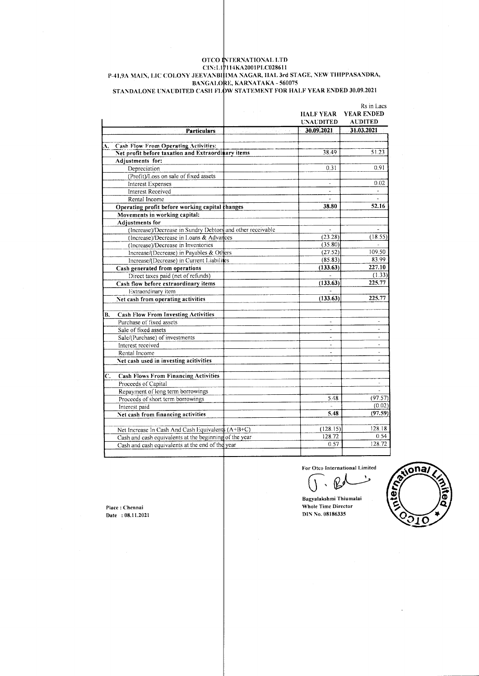# OTCO INTERNATIONAL LTD<br>CIN:L10114KA2001PLC028611<br>P-41,9A MAIN, LIC COLONY JEEVANBHIMA NAGAR, HAL 3rd STAGE, NEW THIPPASANDRA, BANGALORE, KARNATAKA - 560075<br>STANDALONE UNAUDITED CASH FLOW STATEMENT FOR HALF YEAR ENDED 30.09.2021

|                           |                                                            |      | HALF YEAR<br><b>UNAUDITED</b> | Rs in Lacs<br>YEAR ENDED<br><b>AUDITED</b> |
|---------------------------|------------------------------------------------------------|------|-------------------------------|--------------------------------------------|
|                           | <b>Particulars</b>                                         | a Ca | 30.09.2021                    | 31.03.2021                                 |
| A.                        | <b>Cash Flow From Operating Activities:</b>                |      |                               |                                            |
|                           | Net profit before taxation and Extraordinary items         |      | 38.49                         | 51.23                                      |
|                           | Adjustments for:                                           |      |                               |                                            |
|                           | Depreciation                                               |      | 0.31                          | 0.91                                       |
|                           | (Profit)/Loss on sale of fixed assets                      |      |                               |                                            |
|                           | Interest Expenses                                          |      |                               | 0.02                                       |
|                           | <b>Interest Received</b>                                   |      | $\tilde{\phantom{a}}$         | $\Box$                                     |
|                           | Rental Income                                              |      |                               | ÷.                                         |
|                           | Operating profit before working capital changes            |      | 38.80                         | 52.16                                      |
|                           | Movements in working capital:                              |      |                               |                                            |
|                           | Adjustments for                                            |      |                               |                                            |
|                           | (Increase)/Decrease in Sundry Debtors and other receivable |      |                               |                                            |
|                           | (Increase)/Decrease in Loans & Advances                    |      | (23.28)                       | (18.55)                                    |
|                           | (Increase)/Decrease in Inventories                         |      | (35.80)                       |                                            |
|                           | Increase/(Decrease) in Payables & Others                   |      | (27.52)                       | 109.50                                     |
|                           | Increase/(Decrease) in Current Liabilites                  |      | (85.83)                       | 83.99                                      |
|                           | Cash generated from operations                             |      | (133.63)                      | 227.10                                     |
|                           | Direct taxes paid (net of refunds)                         |      |                               | (1.33)                                     |
|                           | Cash flow before extraordinary items                       |      | (133.63)                      | 225.77                                     |
|                           | Extraordinary item                                         |      |                               |                                            |
|                           | Net cash from operating activities                         |      | (133.63)                      | 225.77                                     |
| В.                        | <b>Cash Flow From Investing Activities</b>                 |      |                               |                                            |
|                           | Purchase of fixed assets                                   |      | à.                            | $\overline{\phantom{a}}$                   |
|                           | Sale of fixed assets                                       |      | $\overline{a}$                | ٠                                          |
|                           | Sale/(Purchase) of investments                             |      |                               |                                            |
|                           | Interest received                                          |      | $\overline{a}$                | $\sim$                                     |
|                           | Rental Income                                              |      | ٠                             |                                            |
|                           | Net cash used in investing acitivities                     |      |                               |                                            |
| $\overline{\mathbf{C}}$ . | <b>Cash Flows From Financing Activities</b>                |      |                               |                                            |
|                           | Proceeds of Capital                                        |      |                               |                                            |
|                           | Repayment of long term borrowings                          |      |                               |                                            |
|                           | Proceeds of short term borrowings                          |      | 5.48                          | (97.57)                                    |
|                           | Interest paid                                              |      |                               | (0.02)                                     |
|                           | Net cash from financing activities                         |      | 5.48                          | (97.59)                                    |
|                           | Net Increase In Cash And Cash Equivalent (A+B+C)           |      | (128.15)                      | 128.18                                     |
|                           | Cash and cash equivalents at the beginning of the year-    |      | 128.72                        | 0.54                                       |
|                           | Cash and cash equivalents at the end of the year           |      | 0.57                          | 128.72                                     |
|                           |                                                            |      |                               |                                            |

For Otco International Limited

وا

sona, q tern

Place: Chennai Date : 08.11.2021 Bagyalakshmi Thiumalai Whole Time Director DIN No. 08186335